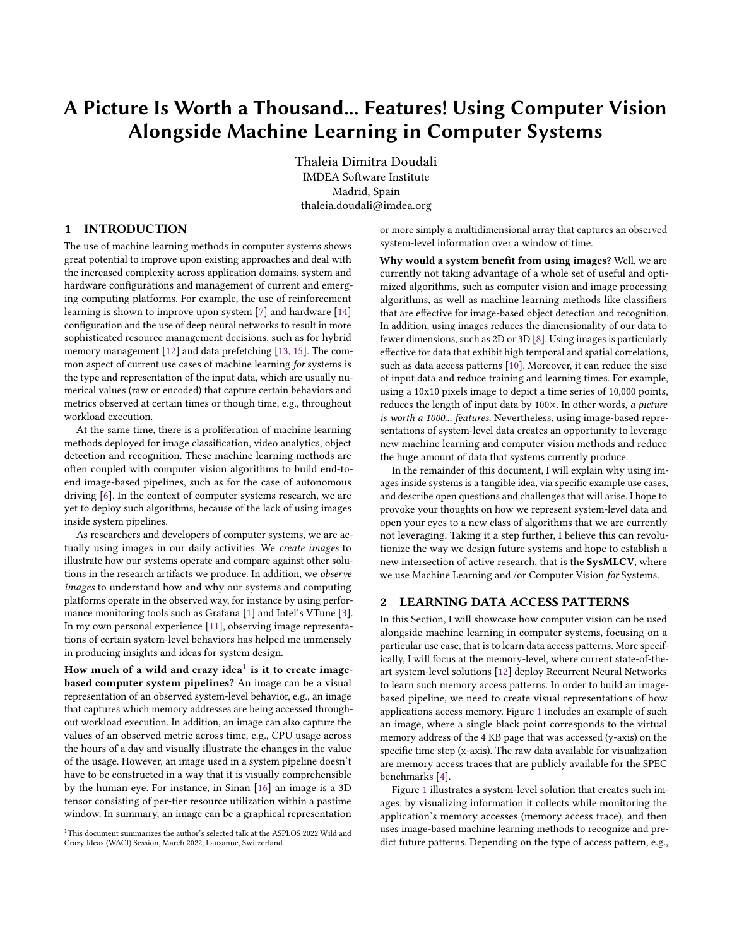# A Picture Is Worth a Thousand... Features! Using Computer Vision Alongside Machine Learning in Computer Systems

Thaleia Dimitra Doudali IMDEA Software Institute Madrid, Spain thaleia.doudali@imdea.org

# 1 INTRODUCTION

The use of machine learning methods in computer systems shows great potential to improve upon existing approaches and deal with the increased complexity across application domains, system and hardware configurations and management of current and emerging computing platforms. For example, the use of reinforcement learning is shown to improve upon system [\[7\]](#page-2-0) and hardware [\[14\]](#page-2-1) configuration and the use of deep neural networks to result in more sophisticated resource management decisions, such as for hybrid memory management [\[12\]](#page-2-2) and data prefetching [\[13,](#page-2-3) [15\]](#page-2-4). The common aspect of current use cases of machine learning for systems is the type and representation of the input data, which are usually numerical values (raw or encoded) that capture certain behaviors and metrics observed at certain times or though time, e.g., throughout workload execution.

At the same time, there is a proliferation of machine learning methods deployed for image classification, video analytics, object detection and recognition. These machine learning methods are often coupled with computer vision algorithms to build end-toend image-based pipelines, such as for the case of autonomous driving [\[6\]](#page-2-5). In the context of computer systems research, we are yet to deploy such algorithms, because of the lack of using images inside system pipelines.

As researchers and developers of computer systems, we are actually using images in our daily activities. We create images to illustrate how our systems operate and compare against other solutions in the research artifacts we produce. In addition, we observe images to understand how and why our systems and computing platforms operate in the observed way, for instance by using performance monitoring tools such as Grafana [\[1\]](#page-2-6) and Intel's VTune [\[3\]](#page-2-7). In my own personal experience [\[11\]](#page-2-8), observing image representations of certain system-level behaviors has helped me immensely in producing insights and ideas for system design.

How much of a wild and crazy idea $^{\rm l}$  is it to create imagebased computer system pipelines? An image can be a visual representation of an observed system-level behavior, e.g., an image that captures which memory addresses are being accessed throughout workload execution. In addition, an image can also capture the values of an observed metric across time, e.g., CPU usage across the hours of a day and visually illustrate the changes in the value of the usage. However, an image used in a system pipeline doesn't have to be constructed in a way that it is visually comprehensible by the human eye. For instance, in Sinan [\[16\]](#page-2-9) an image is a 3D tensor consisting of per-tier resource utilization within a pastime window. In summary, an image can be a graphical representation

or more simply a multidimensional array that captures an observed system-level information over a window of time.

Why would a system benefit from using images? Well, we are currently not taking advantage of a whole set of useful and optimized algorithms, such as computer vision and image processing algorithms, as well as machine learning methods like classifiers that are effective for image-based object detection and recognition. In addition, using images reduces the dimensionality of our data to fewer dimensions, such as 2D or 3D [\[8\]](#page-2-10). Using images is particularly effective for data that exhibit high temporal and spatial correlations, such as data access patterns [\[10\]](#page-2-11). Moreover, it can reduce the size of input data and reduce training and learning times. For example, using a 10x10 pixels image to depict a time series of 10,000 points, reduces the length of input data by 100×. In other words, a picture is worth a 1000... features. Nevertheless, using image-based representations of system-level data creates an opportunity to leverage new machine learning and computer vision methods and reduce the huge amount of data that systems currently produce.

In the remainder of this document, I will explain why using images inside systems is a tangible idea, via specific example use cases, and describe open questions and challenges that will arise. I hope to provoke your thoughts on how we represent system-level data and open your eyes to a new class of algorithms that we are currently not leveraging. Taking it a step further, I believe this can revolutionize the way we design future systems and hope to establish a new intersection of active research, that is the **SysMLCV**, where we use Machine Learning and /or Computer Vision for Systems.

## 2 LEARNING DATA ACCESS PATTERNS

In this Section, I will showcase how computer vision can be used alongside machine learning in computer systems, focusing on a particular use case, that is to learn data access patterns. More specifically, I will focus at the memory-level, where current state-of-theart system-level solutions [\[12\]](#page-2-2) deploy Recurrent Neural Networks to learn such memory access patterns. In order to build an imagebased pipeline, we need to create visual representations of how applications access memory. Figure [1](#page-1-0) includes an example of such an image, where a single black point corresponds to the virtual memory address of the 4 KB page that was accessed (y-axis) on the specific time step (x-axis). The raw data available for visualization are memory access traces that are publicly available for the SPEC benchmarks [\[4\]](#page-2-12).

Figure [1](#page-1-0) illustrates a system-level solution that creates such images, by visualizing information it collects while monitoring the application's memory accesses (memory access trace), and then uses image-based machine learning methods to recognize and predict future patterns. Depending on the type of access pattern, e.g.,

<span id="page-0-0"></span><sup>&</sup>lt;sup>1</sup>This document summarizes the author's selected talk at the ASPLOS 2022 Wild and Crazy Ideas (WACI) Session, March 2022, Lausanne, Switzerland.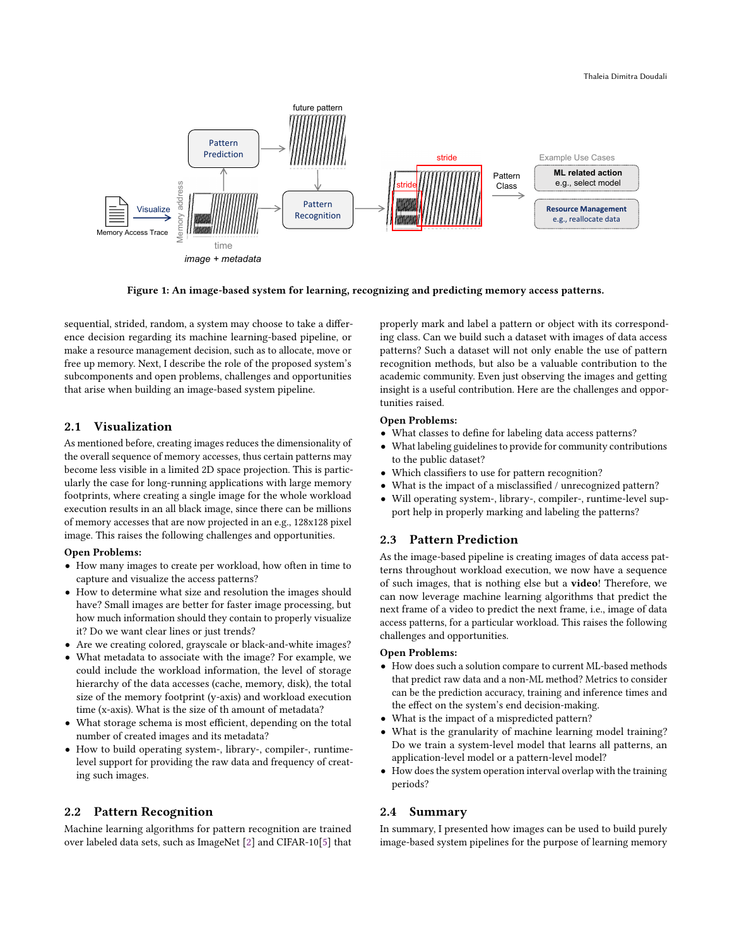<span id="page-1-0"></span>

Figure 1: An image-based system for learning, recognizing and predicting memory access patterns.

sequential, strided, random, a system may choose to take a difference decision regarding its machine learning-based pipeline, or make a resource management decision, such as to allocate, move or free up memory. Next, I describe the role of the proposed system's subcomponents and open problems, challenges and opportunities that arise when building an image-based system pipeline.

# <span id="page-1-1"></span>2.1 Visualization

As mentioned before, creating images reduces the dimensionality of the overall sequence of memory accesses, thus certain patterns may become less visible in a limited 2D space projection. This is particularly the case for long-running applications with large memory footprints, where creating a single image for the whole workload execution results in an all black image, since there can be millions of memory accesses that are now projected in an e.g., 128x128 pixel image. This raises the following challenges and opportunities.

#### Open Problems:

- How many images to create per workload, how often in time to capture and visualize the access patterns?
- How to determine what size and resolution the images should have? Small images are better for faster image processing, but how much information should they contain to properly visualize it? Do we want clear lines or just trends?
- Are we creating colored, grayscale or black-and-white images?
- What metadata to associate with the image? For example, we could include the workload information, the level of storage hierarchy of the data accesses (cache, memory, disk), the total size of the memory footprint (y-axis) and workload execution time (x-axis). What is the size of th amount of metadata?
- What storage schema is most efficient, depending on the total number of created images and its metadata?
- How to build operating system-, library-, compiler-, runtimelevel support for providing the raw data and frequency of creating such images.

## 2.2 Pattern Recognition

Machine learning algorithms for pattern recognition are trained over labeled data sets, such as ImageNet [\[2\]](#page-2-13) and CIFAR-10[\[5\]](#page-2-14) that properly mark and label a pattern or object with its corresponding class. Can we build such a dataset with images of data access patterns? Such a dataset will not only enable the use of pattern recognition methods, but also be a valuable contribution to the academic community. Even just observing the images and getting insight is a useful contribution. Here are the challenges and opportunities raised.

## Open Problems:

- What classes to define for labeling data access patterns?
- What labeling guidelines to provide for community contributions to the public dataset?
- Which classifiers to use for pattern recognition?
- What is the impact of a misclassified / unrecognized pattern?
- Will operating system-, library-, compiler-, runtime-level support help in properly marking and labeling the patterns?

# 2.3 Pattern Prediction

As the image-based pipeline is creating images of data access patterns throughout workload execution, we now have a sequence of such images, that is nothing else but a video! Therefore, we can now leverage machine learning algorithms that predict the next frame of a video to predict the next frame, i.e., image of data access patterns, for a particular workload. This raises the following challenges and opportunities.

#### Open Problems:

- How does such a solution compare to current ML-based methods that predict raw data and a non-ML method? Metrics to consider can be the prediction accuracy, training and inference times and the effect on the system's end decision-making.
- What is the impact of a mispredicted pattern?
- What is the granularity of machine learning model training? Do we train a system-level model that learns all patterns, an application-level model or a pattern-level model?
- How does the system operation interval overlap with the training periods?

## 2.4 Summary

In summary, I presented how images can be used to build purely image-based system pipelines for the purpose of learning memory